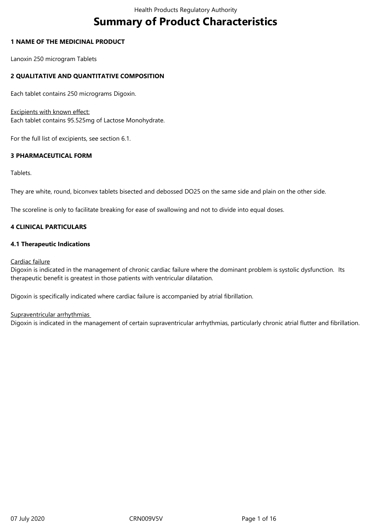# **Summary of Product Characteristics**

# **1 NAME OF THE MEDICINAL PRODUCT**

Lanoxin 250 microgram Tablets

# **2 QUALITATIVE AND QUANTITATIVE COMPOSITION**

Each tablet contains 250 micrograms Digoxin.

# Excipients with known effect:

Each tablet contains 95.525mg of Lactose Monohydrate.

For the full list of excipients, see section 6.1.

# **3 PHARMACEUTICAL FORM**

Tablets.

They are white, round, biconvex tablets bisected and debossed DO25 on the same side and plain on the other side.

The scoreline is only to facilitate breaking for ease of swallowing and not to divide into equal doses.

# **4 CLINICAL PARTICULARS**

# **4.1 Therapeutic Indications**

# Cardiac failure

Digoxin is indicated in the management of chronic cardiac failure where the dominant problem is systolic dysfunction. Its therapeutic benefit is greatest in those patients with ventricular dilatation.

Digoxin is specifically indicated where cardiac failure is accompanied by atrial fibrillation.

# Supraventricular arrhythmias

Digoxin is indicated in the management of certain supraventricular arrhythmias, particularly chronic atrial flutter and fibrillation.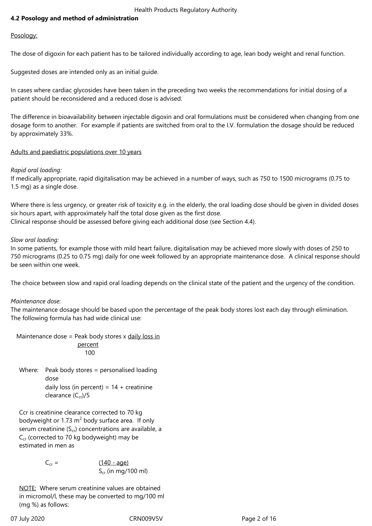# **4.2 Posology and method of administration**

# Posology:

The dose of digoxin for each patient has to be tailored individually according to age, lean body weight and renal function.

Suggested doses are intended only as an initial guide.

In cases where cardiac glycosides have been taken in the preceding two weeks the recommendations for initial dosing of a patient should be reconsidered and a reduced dose is advised.

The difference in bioavailability between injectable digoxin and oral formulations must be considered when changing from one dosage form to another. For example if patients are switched from oral to the I.V. formulation the dosage should be reduced by approximately 33%.

# Adults and paediatric populations over 10 years

# *Rapid oral loading:*

If medically appropriate, rapid digitalisation may be achieved in a number of ways, such as 750 to 1500 micrograms (0.75 to 1.5 mg) as a single dose.

Where there is less urgency, or greater risk of toxicity e.g. in the elderly, the oral loading dose should be given in divided doses six hours apart, with approximately half the total dose given as the first dose. Clinical response should be assessed before giving each additional dose (see Section 4.4).

# *Slow oral loading:*

In some patients, for example those with mild heart failure, digitalisation may be achieved more slowly with doses of 250 to 750 micrograms (0.25 to 0.75 mg) daily for one week followed by an appropriate maintenance dose. A clinical response should be seen within one week.

The choice between slow and rapid oral loading depends on the clinical state of the patient and the urgency of the condition.

# *Maintenance dose:*

The maintenance dosage should be based upon the percentage of the peak body stores lost each day through elimination. The following formula has had wide clinical use:

Maintenance dose = Peak body stores  $x$  daily loss in percent 100

Where: Peak body stores = personalised loading dose daily loss (in percent) =  $14 +$  creatinine clearance  $(C_{cr})/5$ 

Ccr is creatinine clearance corrected to 70 kg bodyweight or 1.73  $m^2$  body surface area. If only serum creatinine  $(S_{cr})$  concentrations are available, a  $C_{cr}$  (corrected to 70 kg bodyweight) may be estimated in men as

> $C_{cr} = (140 - aqe)$  $S_{cr}$  (in mg/100 ml)

NOTE: Where serum creatinine values are obtained in micromol/l, these may be converted to mg/100 ml (mg %) as follows: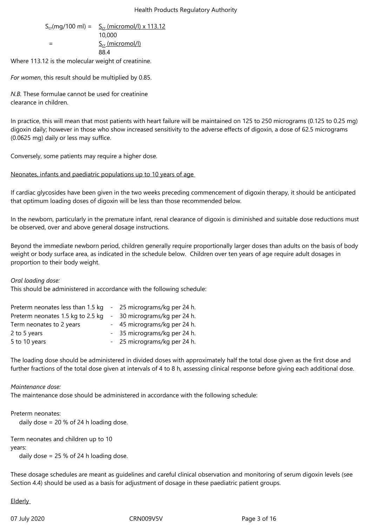$$
S_{cr}(mg/100 \text{ ml}) = \frac{S_{cr}(micromol/l) \times 113.12}{10,000}
$$
  
= 
$$
\frac{S_{cr}(micromol/l)}{88.4}
$$

Where 113.12 is the molecular weight of creatinine.

*For women*, this result should be multiplied by 0.85.

*N.B.* These formulae cannot be used for creatinine clearance in children.

In practice, this will mean that most patients with heart failure will be maintained on 125 to 250 micrograms (0.125 to 0.25 mg) digoxin daily; however in those who show increased sensitivity to the adverse effects of digoxin, a dose of 62.5 micrograms (0.0625 mg) daily or less may suffice.

Conversely, some patients may require a higher dose.

Neonates, infants and paediatric populations up to 10 years of age

If cardiac glycosides have been given in the two weeks preceding commencement of digoxin therapy, it should be anticipated that optimum loading doses of digoxin will be less than those recommended below.

In the newborn, particularly in the premature infant, renal clearance of digoxin is diminished and suitable dose reductions must be observed, over and above general dosage instructions.

Beyond the immediate newborn period, children generally require proportionally larger doses than adults on the basis of body weight or body surface area, as indicated in the schedule below. Children over ten years of age require adult dosages in proportion to their body weight.

# *Oral loading dose:*

This should be administered in accordance with the following schedule:

| Preterm neonates less than 1.5 kg | - 25 micrograms/kg per 24 h. |
|-----------------------------------|------------------------------|
| Preterm neonates 1.5 kg to 2.5 kg | - 30 micrograms/kg per 24 h. |
| Term neonates to 2 years          | - 45 micrograms/kg per 24 h. |
| 2 to 5 years                      | - 35 micrograms/kg per 24 h. |
| 5 to 10 years                     | - 25 micrograms/kg per 24 h. |

The loading dose should be administered in divided doses with approximately half the total dose given as the first dose and further fractions of the total dose given at intervals of 4 to 8 h, assessing clinical response before giving each additional dose.

# *Maintenance dose:*

The maintenance dose should be administered in accordance with the following schedule:

# Preterm neonates:

daily dose = 20 % of 24 h loading dose.

Term neonates and children up to 10

years:

daily dose = 25 % of 24 h loading dose.

These dosage schedules are meant as guidelines and careful clinical observation and monitoring of serum digoxin levels (see Section 4.4) should be used as a basis for adjustment of dosage in these paediatric patient groups.

**Elderly**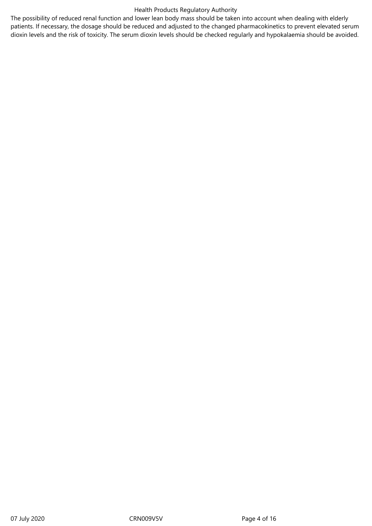The possibility of reduced renal function and lower lean body mass should be taken into account when dealing with elderly patients. If necessary, the dosage should be reduced and adjusted to the changed pharmacokinetics to prevent elevated serum dioxin levels and the risk of toxicity. The serum dioxin levels should be checked regularly and hypokalaemia should be avoided.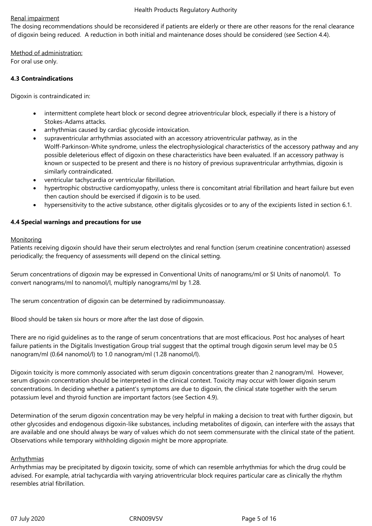### Renal impairment

The dosing recommendations should be reconsidered if patients are elderly or there are other reasons for the renal clearance of digoxin being reduced. A reduction in both initial and maintenance doses should be considered (see Section 4.4).

Method of administration: For oral use only.

#### **4.3 Contraindications**

Digoxin is contraindicated in:

- intermittent complete heart block or second degree atrioventricular block, especially if there is a history of Stokes-Adams attacks.
- arrhythmias caused by cardiac glycoside intoxication.
- supraventricular arrhythmias associated with an accessory atrioventricular pathway, as in the Wolff-Parkinson-White syndrome, unless the electrophysiological characteristics of the accessory pathway and any possible deleterious effect of digoxin on these characteristics have been evaluated. If an accessory pathway is known or suspected to be present and there is no history of previous supraventricular arrhythmias, digoxin is similarly contraindicated.
- ventricular tachycardia or ventricular fibrillation.
- hypertrophic obstructive cardiomyopathy, unless there is concomitant atrial fibrillation and heart failure but even then caution should be exercised if digoxin is to be used.
- hypersensitivity to the active substance, other digitalis glycosides or to any of the excipients listed in section 6.1.

# **4.4 Special warnings and precautions for use**

#### Monitoring

Patients receiving digoxin should have their serum electrolytes and renal function (serum creatinine concentration) assessed periodically; the frequency of assessments will depend on the clinical setting.

Serum concentrations of digoxin may be expressed in Conventional Units of nanograms/ml or SI Units of nanomol/l. To convert nanograms/ml to nanomol/l, multiply nanograms/ml by 1.28.

The serum concentration of digoxin can be determined by radioimmunoassay.

Blood should be taken six hours or more after the last dose of digoxin.

There are no rigid guidelines as to the range of serum concentrations that are most efficacious. Post hoc analyses of heart failure patients in the Digitalis Investigation Group trial suggest that the optimal trough digoxin serum level may be 0.5 nanogram/ml (0.64 nanomol/l) to 1.0 nanogram/ml (1.28 nanomol/l).

Digoxin toxicity is more commonly associated with serum digoxin concentrations greater than 2 nanogram/ml. However, serum digoxin concentration should be interpreted in the clinical context. Toxicity may occur with lower digoxin serum concentrations. In deciding whether a patient's symptoms are due to digoxin, the clinical state together with the serum potassium level and thyroid function are important factors (see Section 4.9).

Determination of the serum digoxin concentration may be very helpful in making a decision to treat with further digoxin, but other glycosides and endogenous digoxin-like substances, including metabolites of digoxin, can interfere with the assays that are available and one should always be wary of values which do not seem commensurate with the clinical state of the patient. Observations while temporary withholding digoxin might be more appropriate.

# Arrhythmias

Arrhythmias may be precipitated by digoxin toxicity, some of which can resemble arrhythmias for which the drug could be advised. For example, atrial tachycardia with varying atrioventricular block requires particular care as clinically the rhythm resembles atrial fibrillation.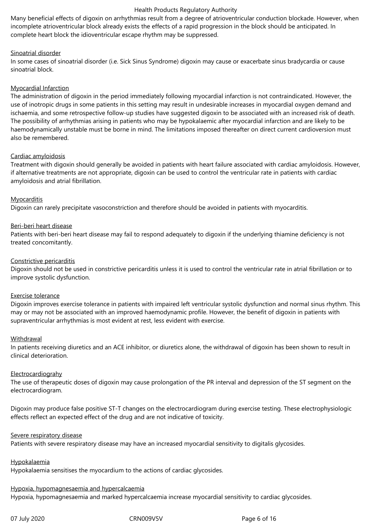Many beneficial effects of digoxin on arrhythmias result from a degree of atrioventricular conduction blockade. However, when incomplete atrioventricular block already exists the effects of a rapid progression in the block should be anticipated. In complete heart block the idioventricular escape rhythm may be suppressed.

# Sinoatrial disorder

In some cases of sinoatrial disorder (i.e. Sick Sinus Syndrome) digoxin may cause or exacerbate sinus bradycardia or cause sinoatrial block.

# Myocardial Infarction

The administration of digoxin in the period immediately following myocardial infarction is not contraindicated. However, the use of inotropic drugs in some patients in this setting may result in undesirable increases in myocardial oxygen demand and ischaemia, and some retrospective follow-up studies have suggested digoxin to be associated with an increased risk of death. The possibility of arrhythmias arising in patients who may be hypokalaemic after myocardial infarction and are likely to be haemodynamically unstable must be borne in mind. The limitations imposed thereafter on direct current cardioversion must also be remembered.

# Cardiac amyloidosis

Treatment with digoxin should generally be avoided in patients with heart failure associated with cardiac amyloidosis. However, if alternative treatments are not appropriate, digoxin can be used to control the ventricular rate in patients with cardiac amyloidosis and atrial fibrillation.

# **Myocarditis**

Digoxin can rarely precipitate vasoconstriction and therefore should be avoided in patients with myocarditis.

# Beri-beri heart disease

Patients with beri-beri heart disease may fail to respond adequately to digoxin if the underlying thiamine deficiency is not treated concomitantly.

# Constrictive pericarditis

Digoxin should not be used in constrictive pericarditis unless it is used to control the ventricular rate in atrial fibrillation or to improve systolic dysfunction.

# Exercise tolerance

Digoxin improves exercise tolerance in patients with impaired left ventricular systolic dysfunction and normal sinus rhythm. This may or may not be associated with an improved haemodynamic profile. However, the benefit of digoxin in patients with supraventricular arrhythmias is most evident at rest, less evident with exercise.

# Withdrawal

In patients receiving diuretics and an ACE inhibitor, or diuretics alone, the withdrawal of digoxin has been shown to result in clinical deterioration.

# Electrocardiograhy

The use of therapeutic doses of digoxin may cause prolongation of the PR interval and depression of the ST segment on the electrocardiogram.

Digoxin may produce false positive ST-T changes on the electrocardiogram during exercise testing. These electrophysiologic effects reflect an expected effect of the drug and are not indicative of toxicity.

# Severe respiratory disease

Patients with severe respiratory disease may have an increased myocardial sensitivity to digitalis glycosides.

# Hypokalaemia

Hypokalaemia sensitises the myocardium to the actions of cardiac glycosides.

# Hypoxia, hypomagnesaemia and hypercalcaemia

Hypoxia, hypomagnesaemia and marked hypercalcaemia increase myocardial sensitivity to cardiac glycosides.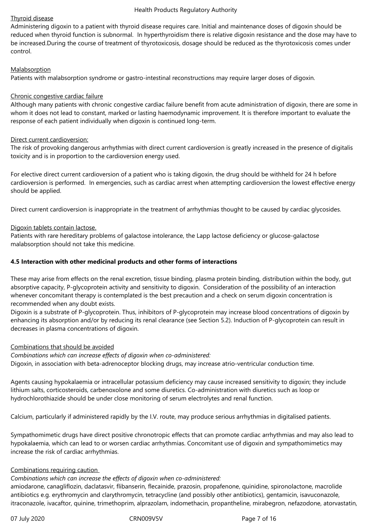# Thyroid disease

Administering digoxin to a patient with thyroid disease requires care. Initial and maintenance doses of digoxin should be reduced when thyroid function is subnormal. In hyperthyroidism there is relative digoxin resistance and the dose may have to be increased.During the course of treatment of thyrotoxicosis, dosage should be reduced as the thyrotoxicosis comes under control.

# **Malabsorption**

Patients with malabsorption syndrome or gastro-intestinal reconstructions may require larger doses of digoxin.

# Chronic congestive cardiac failure

Although many patients with chronic congestive cardiac failure benefit from acute administration of digoxin, there are some in whom it does not lead to constant, marked or lasting haemodynamic improvement. It is therefore important to evaluate the response of each patient individually when digoxin is continued long-term.

# Direct current cardioversion:

The risk of provoking dangerous arrhythmias with direct current cardioversion is greatly increased in the presence of digitalis toxicity and is in proportion to the cardioversion energy used.

For elective direct current cardioversion of a patient who is taking digoxin, the drug should be withheld for 24 h before cardioversion is performed. In emergencies, such as cardiac arrest when attempting cardioversion the lowest effective energy should be applied.

Direct current cardioversion is inappropriate in the treatment of arrhythmias thought to be caused by cardiac glycosides.

# Digoxin tablets contain lactose.

Patients with rare hereditary problems of galactose intolerance, the Lapp lactose deficiency or glucose-galactose malabsorption should not take this medicine.

# **4.5 Interaction with other medicinal products and other forms of interactions**

These may arise from effects on the renal excretion, tissue binding, plasma protein binding, distribution within the body, gut absorptive capacity, P-glycoprotein activity and sensitivity to digoxin. Consideration of the possibility of an interaction whenever concomitant therapy is contemplated is the best precaution and a check on serum digoxin concentration is recommended when any doubt exists.

Digoxin is a substrate of P-glycoprotein. Thus, inhibitors of P-glycoprotein may increase blood concentrations of digoxin by enhancing its absorption and/or by reducing its renal clearance (see Section 5.2). Induction of P-glycoprotein can result in decreases in plasma concentrations of digoxin.

# Combinations that should be avoided

*Combinations which can increase effects of digoxin when co-administered:*

Digoxin, in association with beta-adrenoceptor blocking drugs, may increase atrio-ventricular conduction time.

Agents causing hypokalaemia or intracellular potassium deficiency may cause increased sensitivity to digoxin; they include lithium salts, corticosteroids, carbenoxolone and some diuretics. Co-administration with diuretics such as loop or hydrochlorothiazide should be under close monitoring of serum electrolytes and renal function.

Calcium, particularly if administered rapidly by the I.V. route, may produce serious arrhythmias in digitalised patients.

Sympathomimetic drugs have direct positive chronotropic effects that can promote cardiac arrhythmias and may also lead to hypokalaemia, which can lead to or worsen cardiac arrhythmias. Concomitant use of digoxin and sympathomimetics may increase the risk of cardiac arrhythmias.

# Combinations requiring caution

# *Combinations which can increase the effects of digoxin when co-administered:*

amiodarone, canagliflozin, daclatasvir, flibanserin, flecainide, prazosin, propafenone, quinidine, spironolactone, macrolide antibiotics e.g. erythromycin and clarythromycin, tetracycline (and possibly other antibiotics), gentamicin, isavuconazole, itraconazole, ivacaftor, quinine, trimethoprim, alprazolam, indomethacin, propantheline, mirabegron, nefazodone, atorvastatin,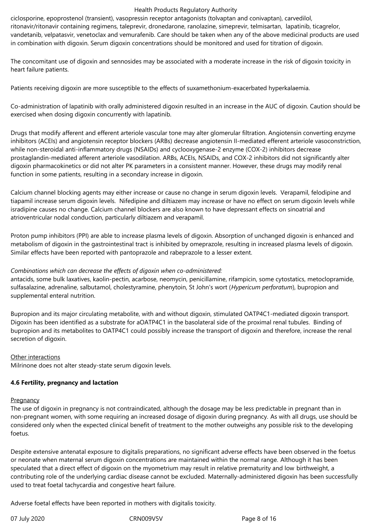ciclosporine, epoprostenol (transient), vasopressin receptor antagonists (tolvaptan and conivaptan), carvedilol, ritonavir/ritonavir containing regimens, taleprevir, dronedarone, ranolazine, simeprevir, telmisartan, lapatinib, ticagrelor, vandetanib, velpatasvir, venetoclax and vemurafenib. Care should be taken when any of the above medicinal products are used in combination with digoxin. Serum digoxin concentrations should be monitored and used for titration of digoxin.

The concomitant use of digoxin and sennosides may be associated with a moderate increase in the risk of digoxin toxicity in heart failure patients.

Patients receiving digoxin are more susceptible to the effects of suxamethonium-exacerbated hyperkalaemia.

Co-administration of lapatinib with orally administered digoxin resulted in an increase in the AUC of digoxin. Caution should be exercised when dosing digoxin concurrently with lapatinib.

Drugs that modify afferent and efferent arteriole vascular tone may alter glomerular filtration. Angiotensin converting enzyme inhibitors (ACEIs) and angiotensin receptor blockers (ARBs) decrease angiotensin II-mediated efferent arteriole vasoconstriction, while non-steroidal anti-inflammatory drugs (NSAIDs) and cyclooxygenase-2 enzyme (COX-2) inhibitors decrease prostaglandin-mediated afferent arteriole vasodilation. ARBs, ACEIs, NSAIDs, and COX-2 inhibitors did not significantly alter digoxin pharmacokinetics or did not alter PK parameters in a consistent manner. However, these drugs may modify renal function in some patients, resulting in a secondary increase in digoxin.

Calcium channel blocking agents may either increase or cause no change in serum digoxin levels. Verapamil, felodipine and tiapamil increase serum digoxin levels. Nifedipine and diltiazem may increase or have no effect on serum digoxin levels while isradipine causes no change. Calcium channel blockers are also known to have depressant effects on sinoatrial and atrioventricular nodal conduction, particularly diltiazem and verapamil.

Proton pump inhibitors (PPI) are able to increase plasma levels of digoxin. Absorption of unchanged digoxin is enhanced and metabolism of digoxin in the gastrointestinal tract is inhibited by omeprazole, resulting in increased plasma levels of digoxin. Similar effects have been reported with pantoprazole and rabeprazole to a lesser extent.

# *Combinations which can decrease the effects of digoxin when co-administered:*

antacids, some bulk laxatives, kaolin-pectin, acarbose, neomycin, penicillamine, rifampicin, some cytostatics, metoclopramide, sulfasalazine, adrenaline, salbutamol, cholestyramine, phenytoin, St John's wort (*Hypericum perforatum*), bupropion and supplemental enteral nutrition.

Bupropion and its major circulating metabolite, with and without digoxin, stimulated OATP4C1-mediated digoxin transport. Digoxin has been identified as a substrate for aOATP4C1 in the basolateral side of the proximal renal tubules. Binding of bupropion and its metabolites to OATP4C1 could possibly increase the transport of digoxin and therefore, increase the renal secretion of digoxin.

# Other interactions

Milrinone does not alter steady-state serum digoxin levels.

# **4.6 Fertility, pregnancy and lactation**

# Pregnancy

The use of digoxin in pregnancy is not contraindicated, although the dosage may be less predictable in pregnant than in non-pregnant women, with some requiring an increased dosage of digoxin during pregnancy. As with all drugs, use should be considered only when the expected clinical benefit of treatment to the mother outweighs any possible risk to the developing foetus.

Despite extensive antenatal exposure to digitalis preparations, no significant adverse effects have been observed in the foetus or neonate when maternal serum digoxin concentrations are maintained within the normal range. Although it has been speculated that a direct effect of digoxin on the myometrium may result in relative prematurity and low birthweight, a contributing role of the underlying cardiac disease cannot be excluded. Maternally-administered digoxin has been successfully used to treat foetal tachycardia and congestive heart failure.

Adverse foetal effects have been reported in mothers with digitalis toxicity.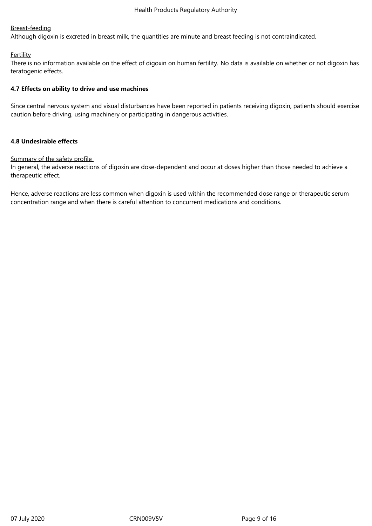# Breast-feeding

Although digoxin is excreted in breast milk, the quantities are minute and breast feeding is not contraindicated.

# **Fertility**

There is no information available on the effect of digoxin on human fertility. No data is available on whether or not digoxin has teratogenic effects.

# **4.7 Effects on ability to drive and use machines**

Since central nervous system and visual disturbances have been reported in patients receiving digoxin, patients should exercise caution before driving, using machinery or participating in dangerous activities.

# **4.8 Undesirable effects**

# Summary of the safety profile

In general, the adverse reactions of digoxin are dose-dependent and occur at doses higher than those needed to achieve a therapeutic effect.

Hence, adverse reactions are less common when digoxin is used within the recommended dose range or therapeutic serum concentration range and when there is careful attention to concurrent medications and conditions.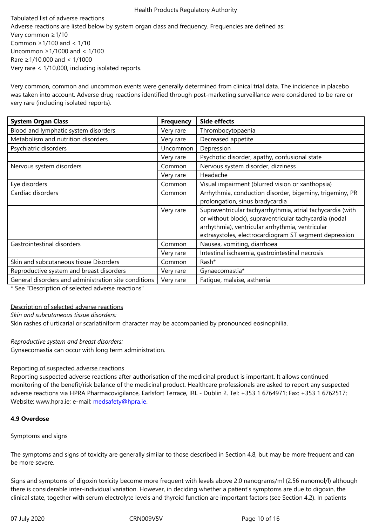Very common ≥1/10 Common ≥1/100 and < 1/10 Uncommon ≥1/1000 and < 1/100 Rare ≥1/10,000 and < 1/1000 Very rare < 1/10,000, including isolated reports.

Very common, common and uncommon events were generally determined from clinical trial data. The incidence in placebo was taken into account. Adverse drug reactions identified through post-marketing surveillance were considered to be rare or very rare (including isolated reports).

| <b>System Organ Class</b>                            | <b>Frequency</b> | <b>Side effects</b>                                        |
|------------------------------------------------------|------------------|------------------------------------------------------------|
| Blood and lymphatic system disorders                 | Very rare        | Thrombocytopaenia                                          |
| Metabolism and nutrition disorders                   | Very rare        | Decreased appetite                                         |
| Psychiatric disorders                                | <b>Uncommon</b>  | Depression                                                 |
|                                                      | Very rare        | Psychotic disorder, apathy, confusional state              |
| Nervous system disorders                             | Common           | Nervous system disorder, dizziness                         |
|                                                      | Very rare        | Headache                                                   |
| Eye disorders                                        | Common           | Visual impairment (blurred vision or xanthopsia)           |
| Cardiac disorders                                    | Common           | Arrhythmia, conduction disorder, bigeminy, trigeminy, PR   |
|                                                      |                  | prolongation, sinus bradycardia                            |
|                                                      | Very rare        | Supraventricular tachyarrhythmia, atrial tachycardia (with |
|                                                      |                  | or without block), supraventricular tachycardia (nodal     |
|                                                      |                  | arrhythmia), ventricular arrhythmia, ventricular           |
|                                                      |                  | extrasystoles, electrocardiogram ST segment depression     |
| Gastrointestinal disorders                           | Common           | Nausea, vomiting, diarrhoea                                |
|                                                      | Very rare        | Intestinal ischaemia, gastrointestinal necrosis            |
| Skin and subcutaneous tissue Disorders               | Common           | Rash*                                                      |
| Reproductive system and breast disorders             | Very rare        | Gynaecomastia*                                             |
| General disorders and administration site conditions | Very rare        | Fatigue, malaise, asthenia                                 |

\* See "Description of selected adverse reactions"

#### Description of selected adverse reactions

*Skin and subcutaneous tissue disorders:*

Skin rashes of urticarial or scarlatiniform character may be accompanied by pronounced eosinophilia.

#### *Reproductive system and breast disorders:*

Gynaecomastia can occur with long term administration.

# Reporting of suspected adverse reactions

Reporting suspected adverse reactions after authorisation of the medicinal product is important. It allows continued monitoring of the benefit/risk balance of the medicinal product. Healthcare professionals are asked to report any suspected adverse reactions via HPRA Pharmacovigilance, Earlsfort Terrace, IRL - Dublin 2. Tel: +353 1 6764971; Fax: +353 1 6762517; Website: www.hpra.ie; e-mail: medsafety@hpra.ie.

#### **4.9 Overdose**

#### Sympto[ms and signs](http://www.hpra.ie/)

The symptoms and signs of toxicity are generally similar to those described in Section 4.8, but may be more frequent and can be more severe.

Signs and symptoms of digoxin toxicity become more frequent with levels above 2.0 nanograms/ml (2.56 nanomol/l) although there is considerable inter-individual variation. However, in deciding whether a patient's symptoms are due to digoxin, the clinical state, together with serum electrolyte levels and thyroid function are important factors (see Section 4.2). In patients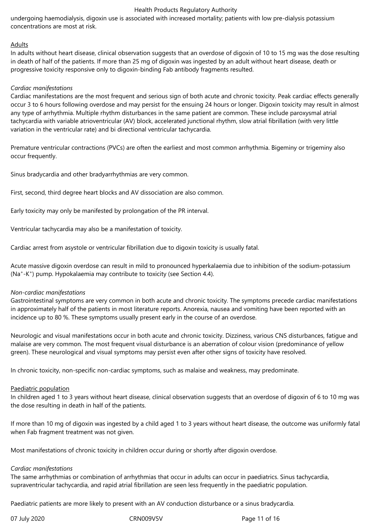undergoing haemodialysis, digoxin use is associated with increased mortality; patients with low pre-dialysis potassium concentrations are most at risk.

#### Adults

In adults without heart disease, clinical observation suggests that an overdose of digoxin of 10 to 15 mg was the dose resulting in death of half of the patients. If more than 25 mg of digoxin was ingested by an adult without heart disease, death or progressive toxicity responsive only to digoxin-binding Fab antibody fragments resulted.

#### *Cardiac manifestations*

Cardiac manifestations are the most frequent and serious sign of both acute and chronic toxicity. Peak cardiac effects generally occur 3 to 6 hours following overdose and may persist for the ensuing 24 hours or longer. Digoxin toxicity may result in almost any type of arrhythmia. Multiple rhythm disturbances in the same patient are common. These include paroxysmal atrial tachycardia with variable atrioventricular (AV) block, accelerated junctional rhythm, slow atrial fibrillation (with very little variation in the ventricular rate) and bi directional ventricular tachycardia.

Premature ventricular contractions (PVCs) are often the earliest and most common arrhythmia. Bigeminy or trigeminy also occur frequently.

Sinus bradycardia and other bradyarrhythmias are very common.

First, second, third degree heart blocks and AV dissociation are also common.

Early toxicity may only be manifested by prolongation of the PR interval.

Ventricular tachycardia may also be a manifestation of toxicity.

Cardiac arrest from asystole or ventricular fibrillation due to digoxin toxicity is usually fatal.

Acute massive digoxin overdose can result in mild to pronounced hyperkalaemia due to inhibition of the sodium-potassium (Na<sup>+</sup>-K<sup>+</sup>) pump. Hypokalaemia may contribute to toxicity (see Section 4.4).

#### *Non-cardiac manifestations*

Gastrointestinal symptoms are very common in both acute and chronic toxicity. The symptoms precede cardiac manifestations in approximately half of the patients in most literature reports. Anorexia, nausea and vomiting have been reported with an incidence up to 80 %. These symptoms usually present early in the course of an overdose.

Neurologic and visual manifestations occur in both acute and chronic toxicity. Dizziness, various CNS disturbances, fatigue and malaise are very common. The most frequent visual disturbance is an aberration of colour vision (predominance of yellow green). These neurological and visual symptoms may persist even after other signs of toxicity have resolved.

In chronic toxicity, non-specific non-cardiac symptoms, such as malaise and weakness, may predominate.

#### Paediatric population

In children aged 1 to 3 years without heart disease, clinical observation suggests that an overdose of digoxin of 6 to 10 mg was the dose resulting in death in half of the patients.

If more than 10 mg of digoxin was ingested by a child aged 1 to 3 years without heart disease, the outcome was uniformly fatal when Fab fragment treatment was not given.

Most manifestations of chronic toxicity in children occur during or shortly after digoxin overdose.

#### *Cardiac manifestations*

The same arrhythmias or combination of arrhythmias that occur in adults can occur in paediatrics. Sinus tachycardia, supraventricular tachycardia, and rapid atrial fibrillation are seen less frequently in the paediatric population.

Paediatric patients are more likely to present with an AV conduction disturbance or a sinus bradycardia.

07 July 2020 **CRN009V5V** CRN009V5V Page 11 of 16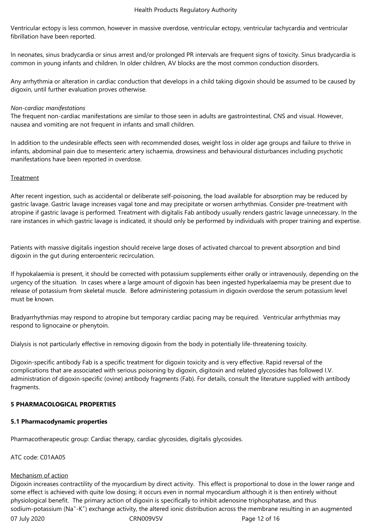Ventricular ectopy is less common, however in massive overdose, ventricular ectopy, ventricular tachycardia and ventricular fibrillation have been reported.

In neonates, sinus bradycardia or sinus arrest and/or prolonged PR intervals are frequent signs of toxicity. Sinus bradycardia is common in young infants and children. In older children, AV blocks are the most common conduction disorders.

Any arrhythmia or alteration in cardiac conduction that develops in a child taking digoxin should be assumed to be caused by digoxin, until further evaluation proves otherwise.

# *Non-cardiac manifestations*

The frequent non-cardiac manifestations are similar to those seen in adults are gastrointestinal, CNS and visual. However, nausea and vomiting are not frequent in infants and small children.

In addition to the undesirable effects seen with recommended doses, weight loss in older age groups and failure to thrive in infants, abdominal pain due to mesenteric artery ischaemia, drowsiness and behavioural disturbances including psychotic manifestations have been reported in overdose.

#### Treatment

After recent ingestion, such as accidental or deliberate self-poisoning, the load available for absorption may be reduced by gastric lavage. Gastric lavage increases vagal tone and may precipitate or worsen arrhythmias. Consider pre-treatment with atropine if gastric lavage is performed. Treatment with digitalis Fab antibody usually renders gastric lavage unnecessary. In the rare instances in which gastric lavage is indicated, it should only be performed by individuals with proper training and expertise.

Patients with massive digitalis ingestion should receive large doses of activated charcoal to prevent absorption and bind digoxin in the gut during enteroenteric recirculation.

If hypokalaemia is present, it should be corrected with potassium supplements either orally or intravenously, depending on the urgency of the situation. In cases where a large amount of digoxin has been ingested hyperkalaemia may be present due to release of potassium from skeletal muscle. Before administering potassium in digoxin overdose the serum potassium level must be known.

Bradyarrhythmias may respond to atropine but temporary cardiac pacing may be required. Ventricular arrhythmias may respond to lignocaine or phenytoin.

Dialysis is not particularly effective in removing digoxin from the body in potentially life-threatening toxicity.

Digoxin-specific antibody Fab is a specific treatment for digoxin toxicity and is very effective. Rapid reversal of the complications that are associated with serious poisoning by digoxin, digitoxin and related glycosides has followed I.V. administration of digoxin-specific (ovine) antibody fragments (Fab). For details, consult the literature supplied with antibody fragments.

# **5 PHARMACOLOGICAL PROPERTIES**

# **5.1 Pharmacodynamic properties**

Pharmacotherapeutic group: Cardiac therapy, cardiac glycosides, digitalis glycosides.

ATC code: C01AA05

# Mechanism of action

07 July 2020 **CRN009V5V** CRN009V5V Page 12 of 16 Digoxin increases contractility of the myocardium by direct activity. This effect is proportional to dose in the lower range and some effect is achieved with quite low dosing; it occurs even in normal myocardium although it is then entirely without physiological benefit. The primary action of digoxin is specifically to inhibit adenosine triphosphatase, and thus sodium-potassium (Na<sup>+</sup>-K<sup>+</sup>) exchange activity, the altered ionic distribution across the membrane resulting in an augmented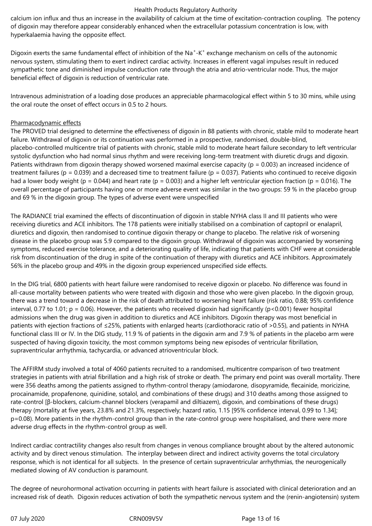calcium ion influx and thus an increase in the availability of calcium at the time of excitation-contraction coupling. The potency of digoxin may therefore appear considerably enhanced when the extracellular potassium concentration is low, with hyperkalaemia having the opposite effect.

Digoxin exerts the same fundamental effect of inhibition of the Na<sup>+</sup>-K<sup>+</sup> exchange mechanism on cells of the autonomic nervous system, stimulating them to exert indirect cardiac activity. Increases in efferent vagal impulses result in reduced sympathetic tone and diminished impulse conduction rate through the atria and atrio-ventricular node. Thus, the major beneficial effect of digoxin is reduction of ventricular rate.

Intravenous administration of a loading dose produces an appreciable pharmacological effect within 5 to 30 mins, while using the oral route the onset of effect occurs in 0.5 to 2 hours.

# Pharmacodynamic effects

The PROVED trial designed to determine the effectiveness of digoxin in 88 patients with chronic, stable mild to moderate heart failure. Withdrawal of digoxin or its continuation was performed in a prospective, randomised, double-blind, placebo-controlled multicentre trial of patients with chronic, stable mild to moderate heart failure secondary to left ventricular systolic dysfunction who had normal sinus rhythm and were receiving long-term treatment with diuretic drugs and digoxin. Patients withdrawn from digoxin therapy showed worsened maximal exercise capacity ( $p = 0.003$ ) an increased incidence of treatment failures ( $p = 0.039$ ) and a decreased time to treatment failure ( $p = 0.037$ ). Patients who continued to receive digoxin had a lower body weight (p = 0.044) and heart rate (p = 0.003) and a higher left ventricular ejection fraction (p = 0.016). The overall percentage of participants having one or more adverse event was similar in the two groups: 59 % in the placebo group and 69 % in the digoxin group. The types of adverse event were unspecified

The RADIANCE trial examined the effects of discontinuation of digoxin in stable NYHA class II and III patients who were receiving diuretics and ACE inhibitors. The 178 patients were initially stabilised on a combination of captopril or enalapril, diuretics and digoxin, then randomised to continue digoxin therapy or change to placebo. The relative risk of worsening disease in the placebo group was 5.9 compared to the digoxin group. Withdrawal of digoxin was accompanied by worsening symptoms, reduced exercise tolerance, and a deteriorating quality of life, indicating that patients with CHF were at considerable risk from discontinuation of the drug in spite of the continuation of therapy with diuretics and ACE inhibitors. Approximately 56% in the placebo group and 49% in the digoxin group experienced unspecified side effects.

In the DIG trial, 6800 patients with heart failure were randomised to receive digoxin or placebo. No difference was found in all-cause mortality between patients who were treated with digoxin and those who were given placebo. In the digoxin group, there was a trend toward a decrease in the risk of death attributed to worsening heart failure (risk ratio, 0.88; 95% confidence interval, 0.77 to 1.01;  $p = 0.06$ ). However, the patients who received digoxin had significantly ( $p < 0.001$ ) fewer hospital admissions when the drug was given in addition to diuretics and ACE inhibitors. Digoxin therapy was most beneficial in patients with ejection fractions of ≤25%, patients with enlarged hearts (cardiothoracic ratio of >0.55), and patients in NYHA functional class III or IV. In the DIG study, 11.9 % of patients in the digoxin arm and 7.9 % of patients in the placebo arm were suspected of having digoxin toxicity, the most common symptoms being new episodes of ventricular fibrillation, supraventricular arrhythmia, tachycardia, or advanced atrioventricular block.

The AFFIRM study involved a total of 4060 patients recruited to a randomised, multicentre comparison of two treatment strategies in patients with atrial fibrillation and a high risk of stroke or death. The primary end point was overall mortality. There were 356 deaths among the patients assigned to rhythm-control therapy (amiodarone, disopyramide, flecainide, moricizine, procainamide, propafenone, quinidine, sotalol, and combinations of these drugs) and 310 deaths among those assigned to rate-control [β-blockers, calcium-channel blockers (verapamil and diltiazem), digoxin, and combinations of these drugs) therapy (mortality at five years, 23.8% and 21.3%, respectively; hazard ratio, 1.15 [95% confidence interval, 0.99 to 1.34]; p=0.08). More patients in the rhythm-control group than in the rate-control group were hospitalised, and there were more adverse drug effects in the rhythm-control group as well.

Indirect cardiac contractility changes also result from changes in venous compliance brought about by the altered autonomic activity and by direct venous stimulation. The interplay between direct and indirect activity governs the total circulatory response, which is not identical for all subjects. In the presence of certain supraventricular arrhythmias, the neurogenically mediated slowing of AV conduction is paramount.

The degree of neurohormonal activation occurring in patients with heart failure is associated with clinical deterioration and an increased risk of death. Digoxin reduces activation of both the sympathetic nervous system and the (renin-angiotensin) system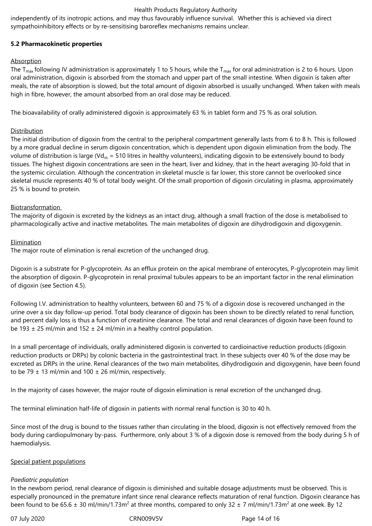independently of its inotropic actions, and may thus favourably influence survival. Whether this is achieved via direct sympathoinhibitory effects or by re-sensitising baroreflex mechanisms remains unclear.

# **5.2 Pharmacokinetic properties**

# Absorption

The T<sub>max</sub> following IV administration is approximately 1 to 5 hours, while the T<sub>max</sub> for oral administration is 2 to 6 hours. Upon oral administration, digoxin is absorbed from the stomach and upper part of the small intestine. When digoxin is taken after meals, the rate of absorption is slowed, but the total amount of digoxin absorbed is usually unchanged. When taken with meals high in fibre, however, the amount absorbed from an oral dose may be reduced.

The bioavailability of orally administered digoxin is approximately 63 % in tablet form and 75 % as oral solution.

# **Distribution**

The initial distribution of digoxin from the central to the peripheral compartment generally lasts from 6 to 8 h. This is followed by a more gradual decline in serum digoxin concentration, which is dependent upon digoxin elimination from the body. The volume of distribution is large (Vd<sub>ss</sub> = 510 litres in healthy volunteers), indicating digoxin to be extensively bound to body tissues. The highest digoxin concentrations are seen in the heart, liver and kidney, that in the heart averaging 30-fold that in the systemic circulation. Although the concentration in skeletal muscle is far lower, this store cannot be overlooked since skeletal muscle represents 40 % of total body weight. Of the small proportion of digoxin circulating in plasma, approximately 25 % is bound to protein.

# **Biotransformation**

The majority of digoxin is excreted by the kidneys as an intact drug, although a small fraction of the dose is metabolised to pharmacologically active and inactive metabolites. The main metabolites of digoxin are dihydrodigoxin and digoxygenin.

# **Elimination**

The major route of elimination is renal excretion of the unchanged drug.

Digoxin is a substrate for P-glycoprotein. As an efflux protein on the apical membrane of enterocytes, P-glycoprotein may limit the absorption of digoxin. P-glycoprotein in renal proximal tubules appears to be an important factor in the renal elimination of digoxin (see Section 4.5).

Following I.V. administration to healthy volunteers, between 60 and 75 % of a digoxin dose is recovered unchanged in the urine over a six day follow-up period. Total body clearance of digoxin has been shown to be directly related to renal function, and percent daily loss is thus a function of creatinine clearance. The total and renal clearances of digoxin have been found to be 193  $\pm$  25 ml/min and 152  $\pm$  24 ml/min in a healthy control population.

In a small percentage of individuals, orally administered digoxin is converted to cardioinactive reduction products (digoxin reduction products or DRPs) by colonic bacteria in the gastrointestinal tract. In these subjects over 40 % of the dose may be excreted as DRPs in the urine. Renal clearances of the two main metabolites, dihydrodigoxin and digoxygenin, have been found to be 79  $\pm$  13 ml/min and 100  $\pm$  26 ml/min, respectively.

In the majority of cases however, the major route of digoxin elimination is renal excretion of the unchanged drug.

The terminal elimination half-life of digoxin in patients with normal renal function is 30 to 40 h.

Since most of the drug is bound to the tissues rather than circulating in the blood, digoxin is not effectively removed from the body during cardiopulmonary by-pass. Furthermore, only about 3 % of a digoxin dose is removed from the body during 5 h of haemodialysis.

# Special patient populations

# *Paediatric population*

In the newborn period, renal clearance of digoxin is diminished and suitable dosage adjustments must be observed. This is especially pronounced in the premature infant since renal clearance reflects maturation of renal function. Digoxin clearance has been found to be 65.6  $\pm$  30 ml/min/1.73m<sup>2</sup> at three months, compared to only 32  $\pm$  7 ml/min/1.73m<sup>2</sup> at one week. By 12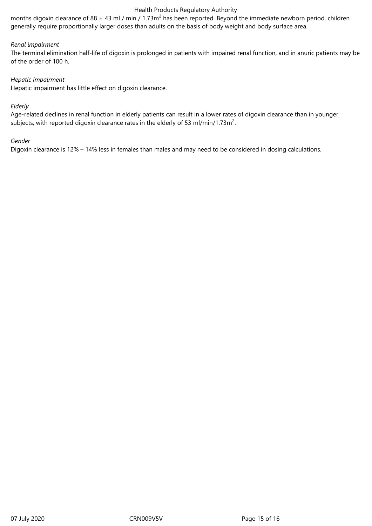months digoxin clearance of 88  $\pm$  43 ml / min / 1.73m<sup>2</sup> has been reported. Beyond the immediate newborn period, children generally require proportionally larger doses than adults on the basis of body weight and body surface area.

### *Renal impairment*

The terminal elimination half-life of digoxin is prolonged in patients with impaired renal function, and in anuric patients may be of the order of 100 h.

# *Hepatic impairment*

Hepatic impairment has little effect on digoxin clearance.

#### *Elderly*

Age-related declines in renal function in elderly patients can result in a lower rates of digoxin clearance than in younger subjects, with reported digoxin clearance rates in the elderly of 53 ml/min/1.73m<sup>2</sup>.

#### *Gender*

Digoxin clearance is 12% – 14% less in females than males and may need to be considered in dosing calculations.